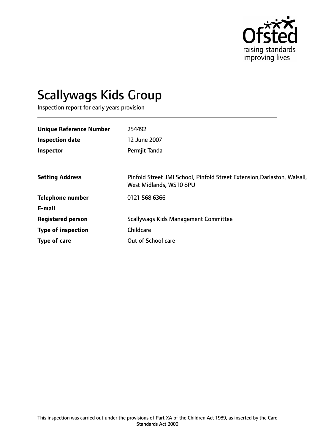

# Scallywags Kids Group

Inspection report for early years provision

| <b>Unique Reference Number</b> | 254492                                                                                              |
|--------------------------------|-----------------------------------------------------------------------------------------------------|
| <b>Inspection date</b>         | 12 June 2007                                                                                        |
| Inspector                      | Permjit Tanda                                                                                       |
|                                |                                                                                                     |
| <b>Setting Address</b>         | Pinfold Street JMI School, Pinfold Street Extension, Darlaston, Walsall,<br>West Midlands, WS10 8PU |
| <b>Telephone number</b>        | 0121 568 6366                                                                                       |
| E-mail                         |                                                                                                     |
| <b>Registered person</b>       | Scallywags Kids Management Committee                                                                |
| <b>Type of inspection</b>      | Childcare                                                                                           |
| Type of care                   | Out of School care                                                                                  |
|                                |                                                                                                     |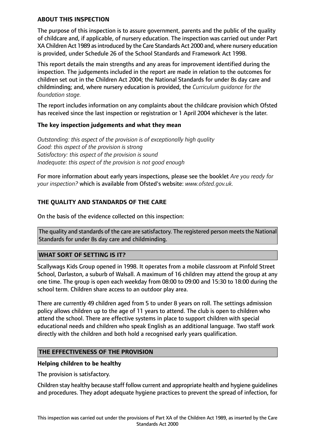## **ABOUT THIS INSPECTION**

The purpose of this inspection is to assure government, parents and the public of the quality of childcare and, if applicable, of nursery education. The inspection was carried out under Part XA Children Act 1989 as introduced by the Care Standards Act 2000 and, where nursery education is provided, under Schedule 26 of the School Standards and Framework Act 1998.

This report details the main strengths and any areas for improvement identified during the inspection. The judgements included in the report are made in relation to the outcomes for children set out in the Children Act 2004; the National Standards for under 8s day care and childminding; and, where nursery education is provided, the *Curriculum guidance for the foundation stage.*

The report includes information on any complaints about the childcare provision which Ofsted has received since the last inspection or registration or 1 April 2004 whichever is the later.

## **The key inspection judgements and what they mean**

*Outstanding: this aspect of the provision is of exceptionally high quality Good: this aspect of the provision is strong Satisfactory: this aspect of the provision is sound Inadequate: this aspect of the provision is not good enough*

For more information about early years inspections, please see the booklet *Are you ready for your inspection?* which is available from Ofsted's website: *www.ofsted.gov.uk.*

# **THE QUALITY AND STANDARDS OF THE CARE**

On the basis of the evidence collected on this inspection:

The quality and standards of the care are satisfactory. The registered person meets the National Standards for under 8s day care and childminding.

## **WHAT SORT OF SETTING IS IT?**

Scallywags Kids Group opened in 1998. It operates from a mobile classroom at Pinfold Street School, Darlaston, a suburb of Walsall. A maximum of 16 children may attend the group at any one time. The group is open each weekday from 08:00 to 09:00 and 15:30 to 18:00 during the school term. Children share access to an outdoor play area.

There are currently 49 children aged from 5 to under 8 years on roll. The settings admission policy allows children up to the age of 11 years to attend. The club is open to children who attend the school. There are effective systems in place to support children with special educational needs and children who speak English as an additional language. Two staff work directly with the children and both hold a recognised early years qualification.

## **THE EFFECTIVENESS OF THE PROVISION**

## **Helping children to be healthy**

The provision is satisfactory.

Children stay healthy because staff follow current and appropriate health and hygiene guidelines and procedures. They adopt adequate hygiene practices to prevent the spread of infection, for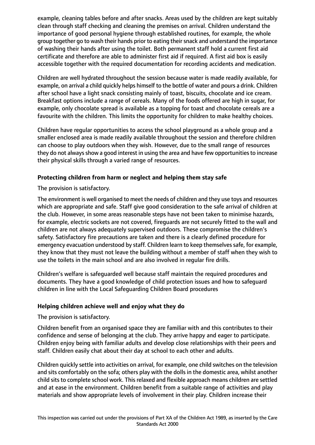example, cleaning tables before and after snacks. Areas used by the children are kept suitably clean through staff checking and cleaning the premises on arrival. Children understand the importance of good personal hygiene through established routines, for example, the whole group together go to wash their hands prior to eating their snack and understand the importance of washing their hands after using the toilet. Both permanent staff hold a current first aid certificate and therefore are able to administer first aid if required. A first aid box is easily accessible together with the required documentation for recording accidents and medication.

Children are well hydrated throughout the session because water is made readily available, for example, on arrival a child quickly helps himself to the bottle of water and pours a drink. Children after school have a light snack consisting mainly of toast, biscuits, chocolate and ice cream. Breakfast options include a range of cereals. Many of the foods offered are high in sugar, for example, only chocolate spread is available as a topping for toast and chocolate cereals are a favourite with the children. This limits the opportunity for children to make healthy choices.

Children have regular opportunities to access the school playground as a whole group and a smaller enclosed area is made readily available throughout the session and therefore children can choose to play outdoors when they wish. However, due to the small range of resources they do not always show a good interest in using the area and have few opportunities to increase their physical skills through a varied range of resources.

# **Protecting children from harm or neglect and helping them stay safe**

The provision is satisfactory.

The environment is well organised to meet the needs of children and they use toys and resources which are appropriate and safe. Staff give good consideration to the safe arrival of children at the club. However, in some areas reasonable steps have not been taken to minimise hazards, for example, electric sockets are not covered, fireguards are not securely fitted to the wall and children are not always adequately supervised outdoors. These compromise the children's safety. Satisfactory fire precautions are taken and there is a clearly defined procedure for emergency evacuation understood by staff. Children learn to keep themselves safe, for example, they know that they must not leave the building without a member of staff when they wish to use the toilets in the main school and are also involved in regular fire drills.

Children's welfare is safeguarded well because staff maintain the required procedures and documents. They have a good knowledge of child protection issues and how to safeguard children in line with the Local Safeguarding Children Board procedures

# **Helping children achieve well and enjoy what they do**

The provision is satisfactory.

Children benefit from an organised space they are familiar with and this contributes to their confidence and sense of belonging at the club. They arrive happy and eager to participate. Children enjoy being with familiar adults and develop close relationships with their peers and staff. Children easily chat about their day at school to each other and adults.

Children quickly settle into activities on arrival, for example, one child switches on the television and sits comfortably on the sofa; others play with the dolls in the domestic area, whilst another child sits to complete school work. This relaxed and flexible approach means children are settled and at ease in the environment. Children benefit from a suitable range of activities and play materials and show appropriate levels of involvement in their play. Children increase their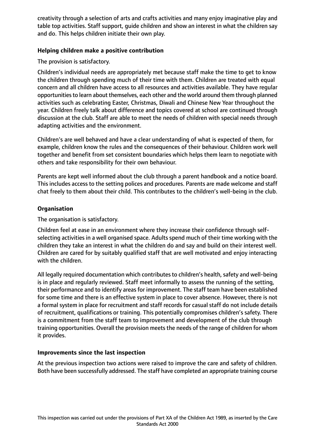creativity through a selection of arts and crafts activities and many enjoy imaginative play and table top activities. Staff support, guide children and show an interest in what the children say and do. This helps children initiate their own play.

# **Helping children make a positive contribution**

The provision is satisfactory.

Children's individual needs are appropriately met because staff make the time to get to know the children through spending much of their time with them. Children are treated with equal concern and all children have access to all resources and activities available. They have regular opportunities to learn about themselves, each other and the world around them through planned activities such as celebrating Easter, Christmas, Diwali and Chinese New Year throughout the year. Children freely talk about difference and topics covered at school are continued through discussion at the club. Staff are able to meet the needs of children with special needs through adapting activities and the environment.

Children's are well behaved and have a clear understanding of what is expected of them, for example, children know the rules and the consequences of their behaviour. Children work well together and benefit from set consistent boundaries which helps them learn to negotiate with others and take responsibility for their own behaviour.

Parents are kept well informed about the club through a parent handbook and a notice board. This includes access to the setting polices and procedures. Parents are made welcome and staff chat freely to them about their child. This contributes to the children's well-being in the club.

## **Organisation**

The organisation is satisfactory.

Children feel at ease in an environment where they increase their confidence through selfselecting activities in a well organised space. Adults spend much of their time working with the children they take an interest in what the children do and say and build on their interest well. Children are cared for by suitably qualified staff that are well motivated and enjoy interacting with the children.

All legally required documentation which contributes to children's health, safety and well-being is in place and regularly reviewed. Staff meet informally to assess the running of the setting, their performance and to identify areas for improvement. The staff team have been established for some time and there is an effective system in place to cover absence. However, there is not a formal system in place for recruitment and staff records for casual staff do not include details of recruitment, qualifications or training. This potentially compromises children's safety. There is a commitment from the staff team to improvement and development of the club through training opportunities. Overall the provision meets the needs of the range of children for whom it provides.

## **Improvements since the last inspection**

At the previous inspection two actions were raised to improve the care and safety of children. Both have been successfully addressed. The staff have completed an appropriate training course